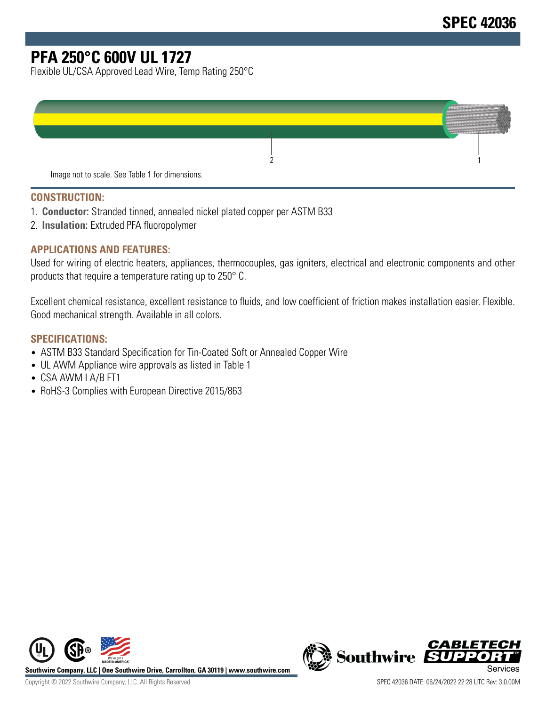# **PFA 250°C 600V UL 1727**

Flexible UL/CSA Approved Lead Wire, Temp Rating 250°C

| Image not to scale. See Table 1 for dimensions. |  |
|-------------------------------------------------|--|

#### **CONSTRUCTION:**

- 1. **Conductor:** Stranded tinned, annealed nickel plated copper per ASTM B33
- 2. **Insulation:** Extruded PFA fluoropolymer

#### **APPLICATIONS AND FEATURES:**

Used for wiring of electric heaters, appliances, thermocouples, gas igniters, electrical and electronic components and other products that require a temperature rating up to 250° C.

Excellent chemical resistance, excellent resistance to fluids, and low coefficient of friction makes installation easier. Flexible. Good mechanical strength. Available in all colors.

#### **SPECIFICATIONS:**

- ASTM B33 Standard Specification for Tin-Coated Soft or Annealed Copper Wire
- UL AWM Appliance wire approvals as listed in Table 1
- CSA AWM I A/B FT1
- RoHS-3 Complies with European Directive 2015/863